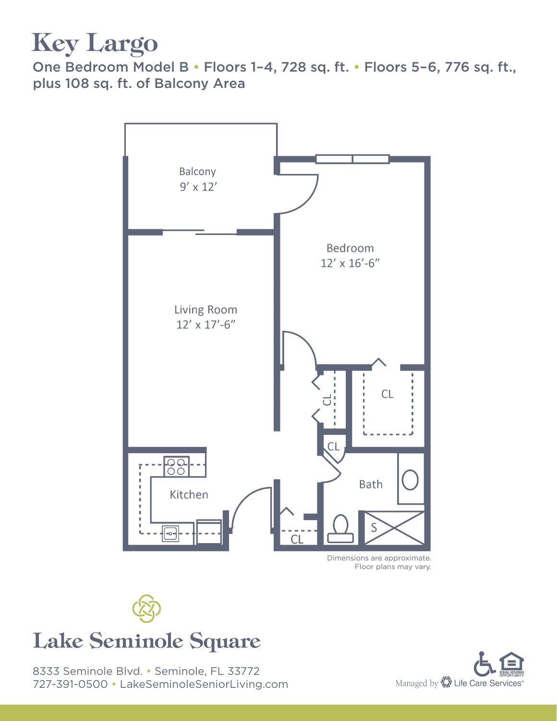## Key Largo

One Bedroom Model B • Floors 1–4, 728 sq. ft. • Floors 5–6, 776 sq. ft., plus 108 sq. ft. of Balcony Area



Floor plans may vary.



#### Lake Seminole Square

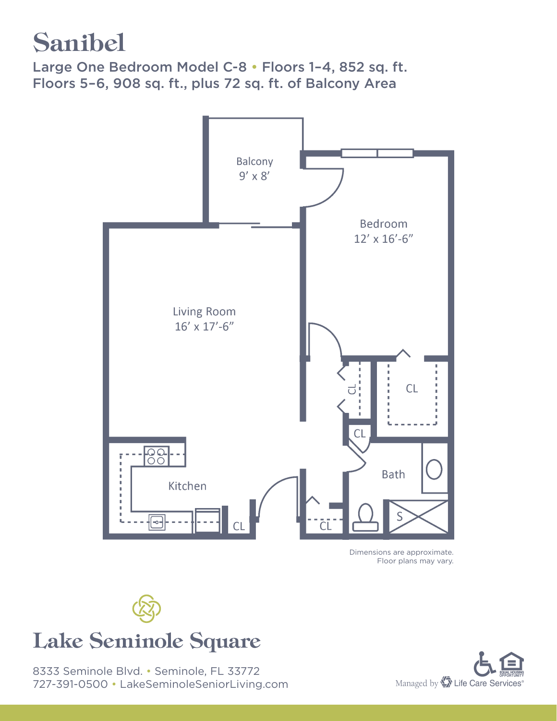### Sanibel

Large One Bedroom Model C-8 • Floors 1-4, 852 sq. ft. Floors 5–6, 908 sq. ft., plus 72 sq. ft. of Balcony Area



Dimensions are approximate. Floor plans may vary.



#### Lake Seminole Square

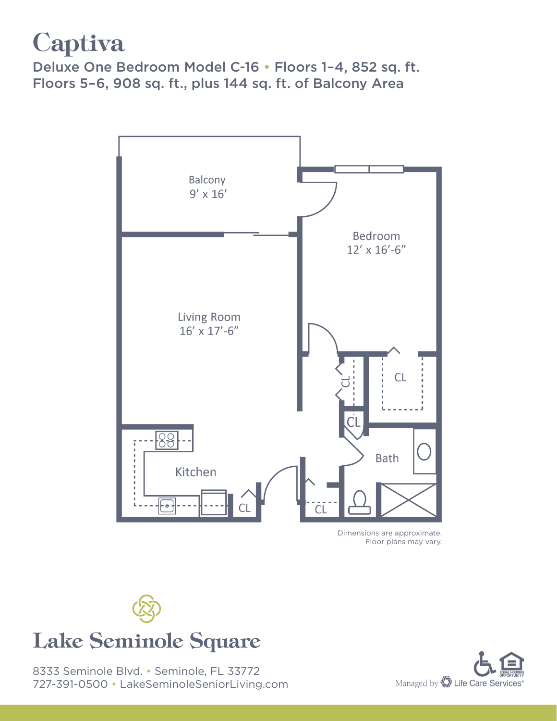# **Captiva**

Deluxe One Bedroom Model C-16 • Floors 1–4, 852 sq. ft. Floors 5–6, 908 sq. ft., plus 144 sq. ft. of Balcony Area



Dimensions are approximate. Floor plans may vary.



#### Lake Seminole Square

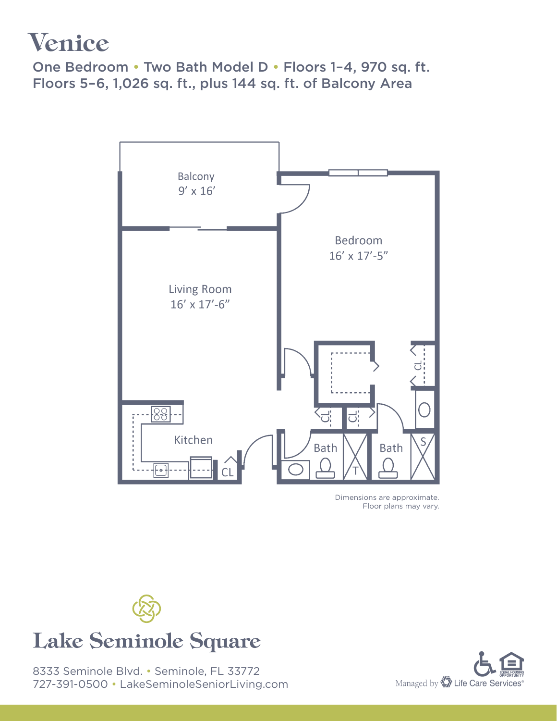### Venice

One Bedroom • Two Bath Model D • Floors 1–4, 970 sq. ft. Floors 5–6, 1,026 sq. ft., plus 144 sq. ft. of Balcony Area



Dimensions are approximate. Floor plans may vary.